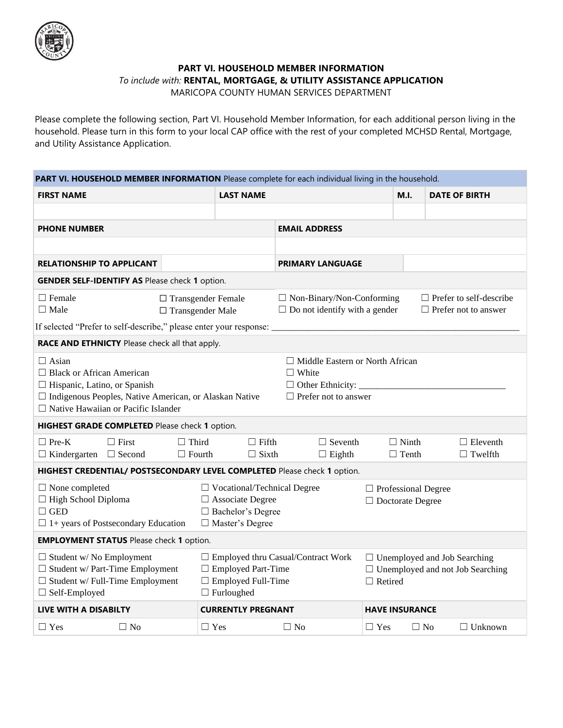

## **PART VI. HOUSEHOLD MEMBER INFORMATION** *To include with:* **RENTAL, MORTGAGE, & UTILITY ASSISTANCE APPLICATION**

MARICOPA COUNTY HUMAN SERVICES DEPARTMENT

Please complete the following section, Part VI. Household Member Information, for each additional person living in the household. Please turn in this form to your local CAP office with the rest of your completed MCHSD Rental, Mortgage, and Utility Assistance Application.

| PART VI. HOUSEHOLD MEMBER INFORMATION Please complete for each individual living in the household.                                                                                                                                                                                         |                                                      |                                                                                                                     |                                                                          |                                                                                                  |                              |                                                               |  |  |  |
|--------------------------------------------------------------------------------------------------------------------------------------------------------------------------------------------------------------------------------------------------------------------------------------------|------------------------------------------------------|---------------------------------------------------------------------------------------------------------------------|--------------------------------------------------------------------------|--------------------------------------------------------------------------------------------------|------------------------------|---------------------------------------------------------------|--|--|--|
| <b>FIRST NAME</b>                                                                                                                                                                                                                                                                          |                                                      | <b>LAST NAME</b>                                                                                                    |                                                                          |                                                                                                  | M.L.                         | <b>DATE OF BIRTH</b>                                          |  |  |  |
|                                                                                                                                                                                                                                                                                            |                                                      |                                                                                                                     |                                                                          |                                                                                                  |                              |                                                               |  |  |  |
| <b>PHONE NUMBER</b>                                                                                                                                                                                                                                                                        |                                                      |                                                                                                                     | <b>EMAIL ADDRESS</b>                                                     |                                                                                                  |                              |                                                               |  |  |  |
|                                                                                                                                                                                                                                                                                            |                                                      |                                                                                                                     |                                                                          |                                                                                                  |                              |                                                               |  |  |  |
| <b>RELATIONSHIP TO APPLICANT</b>                                                                                                                                                                                                                                                           |                                                      |                                                                                                                     | <b>PRIMARY LANGUAGE</b>                                                  |                                                                                                  |                              |                                                               |  |  |  |
| <b>GENDER SELF-IDENTIFY AS Please check 1 option.</b>                                                                                                                                                                                                                                      |                                                      |                                                                                                                     |                                                                          |                                                                                                  |                              |                                                               |  |  |  |
| $\Box$ Female<br>$\Box$ Male                                                                                                                                                                                                                                                               | $\Box$ Transgender Female<br>$\Box$ Transgender Male |                                                                                                                     | $\Box$ Non-Binary/Non-Conforming<br>$\Box$ Do not identify with a gender |                                                                                                  |                              | $\Box$ Prefer to self-describe<br>$\Box$ Prefer not to answer |  |  |  |
| If selected "Prefer to self-describe," please enter your response: _<br>RACE AND ETHNICTY Please check all that apply.                                                                                                                                                                     |                                                      |                                                                                                                     |                                                                          |                                                                                                  |                              |                                                               |  |  |  |
| $\Box$ Asian<br>$\Box$ Middle Eastern or North African<br>$\Box$ Black or African American<br>$\Box$ White<br>$\Box$ Hispanic, Latino, or Spanish<br>□ Indigenous Peoples, Native American, or Alaskan Native<br>$\Box$ Prefer not to answer<br>$\Box$ Native Hawaiian or Pacific Islander |                                                      |                                                                                                                     |                                                                          |                                                                                                  |                              |                                                               |  |  |  |
| HIGHEST GRADE COMPLETED Please check 1 option.                                                                                                                                                                                                                                             |                                                      |                                                                                                                     |                                                                          |                                                                                                  |                              |                                                               |  |  |  |
| $\Box$ Pre-K<br>$\Box$ First<br>$\Box$ Kindergarten $\Box$ Second                                                                                                                                                                                                                          | $\Box$ Third<br>$\Box$ Fourth                        | $\Box$ Fifth<br>$\Box$ Sixth                                                                                        | $\Box$ Seventh<br>$\Box$ Eighth                                          |                                                                                                  | $\Box$ Ninth<br>$\Box$ Tenth | $\Box$ Eleventh<br>$\Box$ Twelfth                             |  |  |  |
| HIGHEST CREDENTIAL/ POSTSECONDARY LEVEL COMPLETED Please check 1 option.                                                                                                                                                                                                                   |                                                      |                                                                                                                     |                                                                          |                                                                                                  |                              |                                                               |  |  |  |
| $\Box$ None completed<br>$\Box$ High School Diploma<br>$\Box$ GED<br>$\Box$ 1+ years of Postsecondary Education                                                                                                                                                                            |                                                      | $\Box$ Vocational/Technical Degree<br>$\Box$ Associate Degree<br>□ Bachelor's Degree<br>□ Master's Degree           |                                                                          | $\Box$ Professional Degree<br>$\Box$ Doctorate Degree                                            |                              |                                                               |  |  |  |
| <b>EMPLOYMENT STATUS</b> Please check 1 option.                                                                                                                                                                                                                                            |                                                      |                                                                                                                     |                                                                          |                                                                                                  |                              |                                                               |  |  |  |
| $\Box$ Student w/No Employment<br>$\Box$ Student w/ Part-Time Employment<br>$\Box$ Student w/ Full-Time Employment<br>$\Box$ Self-Employed                                                                                                                                                 |                                                      | □ Employed thru Casual/Contract Work<br>$\Box$ Employed Part-Time<br>$\Box$ Employed Full-Time<br>$\Box$ Furloughed |                                                                          | $\Box$ Unemployed and Job Searching<br>$\Box$ Unemployed and not Job Searching<br>$\Box$ Retired |                              |                                                               |  |  |  |
| <b>LIVE WITH A DISABILTY</b>                                                                                                                                                                                                                                                               |                                                      | <b>CURRENTLY PREGNANT</b>                                                                                           |                                                                          |                                                                                                  | <b>HAVE INSURANCE</b>        |                                                               |  |  |  |
| $\Box$ No<br>$\Box$ Yes                                                                                                                                                                                                                                                                    |                                                      | $\Box$ Yes                                                                                                          | $\Box$ No                                                                | $\Box$ Yes                                                                                       | $\Box$ No                    | $\Box$ Unknown                                                |  |  |  |